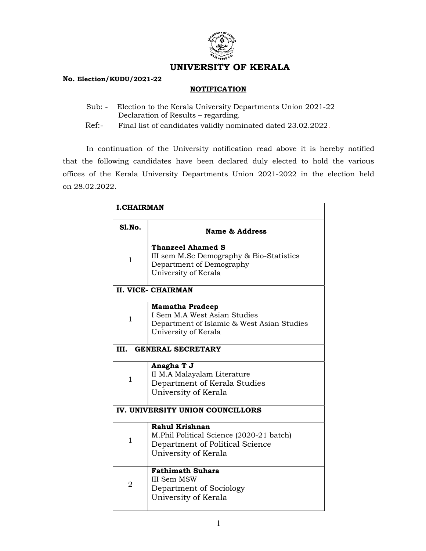

## UNIVERSITY OF KERALA

## No. Election/KUDU/2021-22

## **NOTIFICATION**

- Sub: Election to the Kerala University Departments Union 2021-22 Declaration of Results – regarding.
- Ref:- Final list of candidates validly nominated dated 23.02.2022.

In continuation of the University notification read above it is hereby notified that the following candidates have been declared duly elected to hold the various offices of the Kerala University Departments Union 2021-2022 in the election held on 28.02.2022.

| <b>I.CHAIRMAN</b>                |                                                                                                                              |  |
|----------------------------------|------------------------------------------------------------------------------------------------------------------------------|--|
| S1.No.                           | <b>Name &amp; Address</b>                                                                                                    |  |
| 1                                | <b>Thanzeel Ahamed S</b><br>III sem M.Sc Demography & Bio-Statistics<br>Department of Demography<br>University of Kerala     |  |
| II. VICE- CHAIRMAN               |                                                                                                                              |  |
| $\mathbf 1$                      | <b>Mamatha Pradeep</b><br>I Sem M.A West Asian Studies<br>Department of Islamic & West Asian Studies<br>University of Kerala |  |
| <b>GENERAL SECRETARY</b><br>III. |                                                                                                                              |  |
| $\mathbf{1}$                     | Anagha T J<br>II M.A Malayalam Literature<br>Department of Kerala Studies<br>University of Kerala                            |  |
| IV. UNIVERSITY UNION COUNCILLORS |                                                                                                                              |  |
| 1                                | Rahul Krishnan<br>M.Phil Political Science (2020-21 batch)<br>Department of Political Science<br>University of Kerala        |  |
| $\overline{2}$                   | <b>Fathimath Suhara</b><br><b>III Sem MSW</b><br>Department of Sociology<br>University of Kerala                             |  |